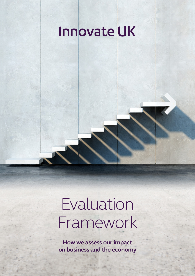# **Innovate UK**

# Evaluation Framework

**How we assess our impact on business and the economy**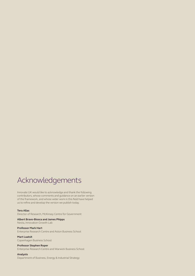## Acknowledgements

Innovate UK would like to acknowledge and thank the following contributors, whose comments and guidance on an earlier version of the framework, and whose wider work in this field have helped us to refine and develop the version we publish today.

#### **Tera Allas**

Director of Research, McKinsey Centre for Government

**Albert Bravo-Biosca and James Phipps** Nesta, Innovation Growth Lab

**Professor Mark Hart** Enterprise Research Centre and Aston Business School

**Mart Laatsit** Copenhagen Business School

#### **Professor Stephen Roper**

Enterprise Research Centre and Warwick Business School

#### **Analysts**

Department of Business, Energy & Industrial Strategy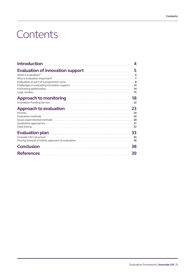# **Contents**

| <u>Introduction Electron and State and State and State and State and State and State and State and State and State and State and State and State and State and State and State and State and State and State and State and State</u> | 4  |
|--------------------------------------------------------------------------------------------------------------------------------------------------------------------------------------------------------------------------------------|----|
| Evaluation of innovation support <b>EVALUATION</b> 5                                                                                                                                                                                 |    |
|                                                                                                                                                                                                                                      |    |
| Approach to monitoring <b>Executive Contract 18</b>                                                                                                                                                                                  |    |
| Innovation Funding Service <b>Election Constructs</b> 22                                                                                                                                                                             |    |
| Approach to evaluation <b>Manual Experience 23</b><br>Qualitative approaches <b>with the contract of the contract of the contract of the contract of the contract of the contract of the 31</b>                                      |    |
|                                                                                                                                                                                                                                      |    |
|                                                                                                                                                                                                                                      | 38 |
|                                                                                                                                                                                                                                      | 39 |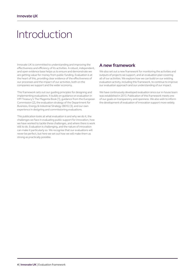# <span id="page-3-0"></span>Introduction

Innovate UK is committed to understanding and improving the effectiveness and efficiency of its activities. A robust, independent, and open evidence base helps us to ensure and demonstrate we are getting value for money from public funding. Evaluation is at the heart of this, providing clear evidence of the effectiveness of our processes and the impact of our activities, both on the companies we support and the wider economy.

This framework sets out our guiding principles for designing and implementing evaluations. It builds on guidance on evaluation in HM Treasury's The Magenta Book [\[1\],](#page-38-0) guidance from the European Commission [\[2\],](#page-38-0) the evaluation strategy of the Department for Business, Energy & Industrial Strategy (BEIS) [\[3\],](#page-38-0) and our own experience in designing and commissioning evaluations.

This publication looks at what evaluation is and why we do it, the challenges we face in evaluating public support for innovation, how we have worked to tackle these challenges, and where there is work still to do. Evaluation is challenging, and the nature of innovation can make it particularly so. We recognise that our evaluations will never be perfect, but here we set out how we will make them as strong as practically possible.

## **A new framework**

We also set out a new framework for monitoring the activities and outputs of projects we support, and an evaluation plan covering all of our activities. We explore how we can build on our existing evaluation activity, including this framework, to continue to improve our evaluation approach and our understanding of our impact.

We have continuously developed evaluation since our in-house team was established in 2013. Publication of this framework meets one of our goals on transparency and openness. We also wish to inform the development of evaluation of innovation support more widely.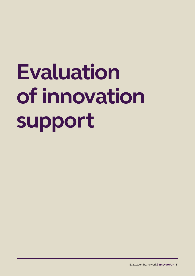# <span id="page-4-0"></span>**Evaluation of innovation support**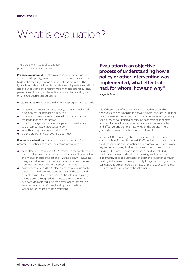# <span id="page-5-0"></span>What is evaluation?

There are 3 main types of evaluation: process, impact and economic.

**Process evaluations** look at how a policy or programme (for clarity and simplicity, we will use the generic term programme to describe the subject of an evaluation) was delivered. They typically include a mixture of quantitative and qualitative methods used to understand the programme's financing and resourcing, perceptions of quality and effectiveness, and facts and figures on the operation of a programme.

**Impact evaluations** look at the difference a programme has made:

- what were the observed outcomes (such as technological development, or increased turnover)?
- how much of any observed change in outcomes can be attributed to the programme?
- how did changes vary across groups (across smaller and larger companies, or across sectors)?
- were there any unintended outcomes?
- did the programme achieve its objectives?

**Economic evaluations** look at whether the benefits of a programme justifies its costs. They come in two forms:

- cost-effectiveness analysis (CEA) estimates the total cost per unit of outcome achieved. In terms of Innovate UK's activities, this might consider the cost of delivering a grant – including the grant value, and the overheads associated with delivery – per new product commercialised, or per new job created
- cost-benefit analysis (CBA) places a monetary value on the outcomes. A full CBA will value as many of the costs and benefits as possible. In our case, the benefits will typically be measured through added value to the UK economy, achieved via improved business performance, or through wider economic benefits such as improved health and wellbeing, or reduced carbon emissions

## **"Evaluation is an objective process of understanding how a policy or other intervention was implemented, what effects it had, for whom, how and why."**

#### **Magenta Book**

All of these types of evaluation can be suitable, depending on the questions one is hoping to answer. Where Innovate UK is using new or amended processes in a programme, we would generally use a process evaluation alongside an economic cost-benefit analysis. This would show whether our processes are efficient and effective, and demonstrate whether the programme is justified in terms of benefits compared to costs.

Innovate UK is funded by the taxpayer, so we think of economic costs and benefits for the entire UK. We include costs and benefits to other parties in our evaluations. For example, when we provide a grant to a company, businesses are expected to provide matchfunding. This cost to those businesses should be included in the total economic costs. Strictly speaking, we think of the 'opportunity cost' to businesses: the cost of providing the match funding is the value of the opportunity foregone in doing so. This can generally be considered the value of the next-best thing the business could have done with that funding.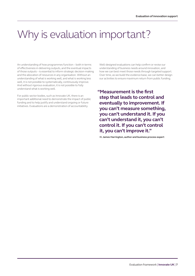# <span id="page-6-0"></span>Why is evaluation important?

An understanding of how programmes function – both in terms of effectiveness in delivering outputs, and the eventual impacts of those outputs – is essential to inform strategic decision-making and the allocation of resources in any organisation. Without an understanding of what is working well, and what is working less well, it is not possible to systematically, continuously improve. And without rigorous evaluation, it is not possible to fully understand what is working well.

For public sector bodies, such as Innovate UK, there is an important additional need to demonstrate the impact of public funding and to help justify and understand ongoing or future initiatives. Evaluations are a demonstration of accountability.

Well-designed evaluations can help confirm or revise our understanding of business needs around innovation, and how we can best meet those needs through targeted support. Over time, as we build the evidence base, we can better design our activities to ensure maximum return from public funding.

**"Measurement is the first step that leads to control and eventually to improvement. If you can't measure something, you can't understand it. If you can't understand it, you can't control it. If you can't control it, you can't improve it."** 

**H. James Harrington, author and business process expert**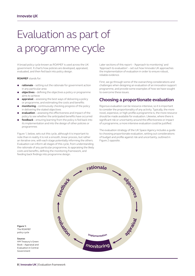# <span id="page-7-0"></span>Evaluation as part of a programme cycle

A broad policy cycle known as ROAMEF is used across the UK government. It charts how policies are developed, appraised, evaluated, and then fed back into policy design.

**ROAMEF** stands for:

- **rationale** setting out the rationale for government action in any particular area
- **objectives** defining the objectives a policy or programme aims to achieve
- appraisal assessing the best ways of delivering a policy or programme, and estimating the costs and benefits
- **monitoring** continuously checking progress of the policy in delivering the stated objectives
- evaluation assessing the effectiveness and impact of the policy to see whether the anticipated benefits have occurred
- **feedback** ensuring learning from the policy is fed back into its implementation and into the design of other policies or programmes

Figure 1, below, sets out this cycle, although it is important to note than in reality it is not a smooth, linear process, but rather an iterative one, with each stage potentially informing the others. Evaluation can inform all stages of this cycle, from understanding the rationale of any particular programme, to appraising the likely costs and benefits, defining the monitoring framework, and feeding back findings into programme design.

Later sections of this report – 'Approach to monitoring' and 'Approach to evaluation' – set out how Innovate UK approaches the implementation of evaluation in order to ensure robust, reliable evidence.

First, we go through some of the overarching considerations and challenges when designing an evaluation of an innovation support programme, and provide some examples of how we have sought to overcome these issues.

## **Choosing a proportionate evaluation**

Rigorous evaluation can be resource-intensive, so it is important to consider the proportionality of any activity. Typically, the more novel, expensive, or high-profile a programme is, the more resource should be made available for evaluation. Likewise, where there is significant risk or uncertainty around the effectiveness or impact of a programme, a more intensive evaluation could be justified.

The evaluation strategy of the UK Space Agency includes a guide to choosing proportionate evaluation, setting out considerations of budget and profile against risk and uncertainty, outlined in Figure 2 opposite.



**Figure 1:** The ROAMEF policy cycle

**Source:** HM Treasury's Green Book – Appraisal and Evaluation in Central Government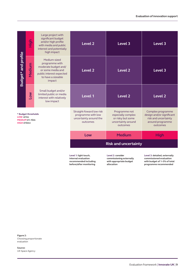|                                                                        | <u>SeiH</u> | Large project with<br>significant budget<br>and/or high profile<br>with media and public<br>interest and potentially<br>high impact     | Level <sub>2</sub>                                                                                                                                                                 | Level 3            | Level 3                                                                                                |  |  |  |
|------------------------------------------------------------------------|-------------|-----------------------------------------------------------------------------------------------------------------------------------------|------------------------------------------------------------------------------------------------------------------------------------------------------------------------------------|--------------------|--------------------------------------------------------------------------------------------------------|--|--|--|
| Budget* and profile                                                    | Medium      | Medium-sized<br>programme with<br>moderate budget and/<br>or some media and<br>public interest expected<br>to have a sizeable<br>impact | Level <sub>2</sub>                                                                                                                                                                 | Level <sub>2</sub> | Level 3                                                                                                |  |  |  |
|                                                                        | Low         | Small budget and/or<br>limited public or media<br>interest with relatively<br>low impact                                                | Level 1                                                                                                                                                                            | Level <sub>2</sub> | Level <sub>2</sub>                                                                                     |  |  |  |
| * Budget thresholds<br>LOW < f1m<br>MEDIUM £1-10m<br><b>HIGH £10m+</b> |             |                                                                                                                                         | Straight-foward low risk<br>Programme not<br>programme with low<br>especially complex<br>uncertainty around the<br>or risky but some<br>uncertainty around<br>outcomes<br>outcomes |                    | Complex programme<br>design and/or significant<br>risk and uncertainty<br>around programme<br>outcomes |  |  |  |
|                                                                        |             |                                                                                                                                         | Low                                                                                                                                                                                | <b>High</b>        |                                                                                                        |  |  |  |
|                                                                        |             |                                                                                                                                         | <b>Risk and uncertainty</b>                                                                                                                                                        |                    |                                                                                                        |  |  |  |

**Level 1: light touch, internal evaluation recommended including before/after monitoring**

**Level 2: consider commissioning externally with appropriate budget allocation**

**Level 3: detailed, externally commissioned evaluation with budget of 1–5% of total programme recommended**

**Figure 2:** Choosing proportionate evaluation

**Source:** UK Space Agency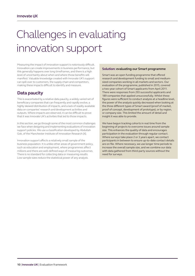# <span id="page-9-0"></span>Challenges in evaluating innovation support

Measuring the impact of innovation support is notoriously difficult. Innovation can create improvements in business performance, but this generally happens over long timeframes, and there is a high level of uncertainty about when and where those benefits will manifest. Valuable knowledge created with Innovate UK's support can spill over to customers, the supply chain and competitors, making these impacts difficult to identify and measure.

## **Data paucity**

This is exacerbated by a relative data paucity, a widely varied set of beneficiary companies that can frequently and rapidly evolve, a highly skewed distribution of impacts, and a lack of readily available data on companies' research and development activities and outputs. Where impacts are observed, it can be difficult to prove that it was Innovate UK's activities that led to those impacts.

In this section, we go through some of the most common challenges we face when designing and implementing evaluations of innovation support policies. We use a classification developed by Abdullah Gok, of the Manchester Institute of Innovation Research [\[4\].](#page-38-0)

Innovation support affects a relatively small sample of the business population. It is unlike other areas of government policy, such as education and employment, where programmes affect millions and there are well-defined ways of measuring outcomes. There is no standard for collecting data or measuring results. Low sample sizes reduce the statistical power of any analysis.

#### **Solution: evaluating our Smart programme**

Smart was an open funding programme that offered research and development funding to small and mediumsized companies working in all markets and sectors. Our evaluation of the programme, published in 2015, covered a two-year cohort of Smart applicants from April 2011. There were responses from 293 successful applicants and 189 companies that applied unsuccessfully. Whilst these figures were sufficient to conduct analysis at a headline level, the power of the analysis quickly decreased when looking at the three different types of Smart award (proof of market, proof of concept, development of prototype), or by region, or company size. This limited the amount of detail and insight it was able to provide.

We have begun tracking cohorts in real time from the beginning of projects to overcome issues around sample size. This enhances the quality of data and encourages participation in the evaluation through regular contact. Where surveys take place 2 or 3 years apart, we contact participants in between to ensure up-to-date contact details are on file. Where necessary, we use longer time periods to increase the overall sample size, and we combine our data with data gathered from third-party sources without the need for surveys.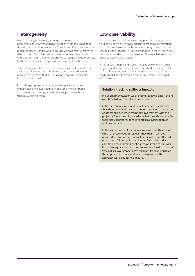## **Heterogeneity**

Heterogeneity, or diversity, amongst businesses can be problematic for many standard evaluation methods where that diversity cannot be controlled for. Companies differ greatly by size, region, sector, structure, and so on, and we have relatively limited data on them. Vast datasets can provide controls for a child's entire school history, but we are limited to relatively crude controls for business data such as age, size, and sector of the business.

The statistical models that underpin many evaluation methods – where sufficient controls for differences cannot be included – make an assumption that all units of observation (companies, in this case) are similar.

Innovation programmes are targeted at particular types of businesses. We also need to understand whether those companies that did apply and receive support were those that could benefit most.

### **Low observability**

The primary output of innovation support is knowledge. Whilst this knowledge is often embedded in some form of innovation, which can lead to observable impacts through new products, services, and processes, it is also embedded in the minds of the people who worked on those projects. This knowledge cannot easily be observed or tracked.

It moves with people and is often applied elsewhere, in other projects, perhaps in other companies and industries. Typically, these spillover impacts to other beneficiaries are impossible to predict and difficult to track, observe, and measure in a costeffective way.

#### **Solution: tracking spillover impacts**

In our Smart evaluation we are using repeated observations over time to learn about spillover impacts.

In the first survey, we asked Smart beneficiaries whether they thought any of their customers, suppliers, competitors, or others had benefited from their involvement with the project. Where they did, we asked what form those benefits took, and used the responses to build a classification of spillover impacts.

In the second wave of the survey, we asked another cohort which of those types of spillover they think may have occurred, and requested contact details of those affected so we could follow up. In practice, we faced difficulties in contacting the indirect beneficiaries, and the analysis was limited to a qualitative and non-representative discussion of types of spillover impacts. We will learn from and build on this approach in future evaluations. A report on this approach will be published in 2018.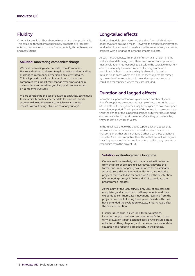## **Fluidity**

Companies are fluid. They change frequently and unpredictably. This could be through introducing new products or processes, entering new markets, or more fundamentally, through mergers and acquisitions.

#### **Solution: monitoring companies' change**

We have been using external data, from Companies House and other databases, to gain a better understanding of changes in company ownership and exit strategies. This will provide us with a clearer picture of how the companies we support may change over time, and help us to understand whether grant support has any impact on company structures.

We are considering the use of advanced analytical techniques to dynamically analyse internet data for product launch activity, widening the extent to which we can monitor impacts without being reliant on company surveys.

## **Long-tailed effects**

Statistical models often assume a standard 'normal' distribution of observations around a mean. However, the impacts of innovation tend to be highly skewed towards a small number of very successful projects, with a long tail of low or no-impact projects.

As with heterogeneity, this profile of returns can undermine the statistical models being used. There is an important implication: most evaluation methods seek to calculate the 'average treatment effect', essentially the mean impact of a programme on a participant. Where impacts are highly skewed, this can be misleading. In cases where the high-impact subjects are missed by the evaluation, impacts could be under-reported. Impacts could be over-reported where they are included.

## **Duration and lagged effects**

Innovation support often takes place over a number of years. Specific supported projects may last up to 3 years or, in the case of the Catapults, programmes may be designed to have an impact over a longer period. The impacts of the innovation can occur later than the period of the supported project, as further development or commercialisation work is needed. Once they do materialise, they can last a number of years.

In the initial years following public support, it can appear that returns are low or non-existent. Indeed, research has shown that companies that are innovating (rather than those that have innovated) are less productive than those that are not, as they are investing resources into innovation before realising any revenue or efficiencies from the project [\[5\].](#page-38-0)

#### **Solution: evaluating over a long time**

Our evaluations are designed to span a wide time frame, from the start of projects to several years beyond their formal end. In our ongoing evaluation of the Sustainable Agriculture and Food Innovation Platform, we looked at projects that started as far back as 2010 with the intention of conducting surveys in 2016 and 2018 to evaluate the programme's impacts.

At the point of the 2016 survey, only 28% of projects had completed, and around half of all respondents said they expected to commercialise innovations resulting from the projects over the following three years. Based on this, we have extended the evaluation to 2020, a full 10 years after the first competition.

Further issues arise in such long-term evaluations, including people moving on and memories fading. Longterm evaluation is best designed early on, to ensure data is collected as things happen, and that expectations for data collection and reporting are set early in the process.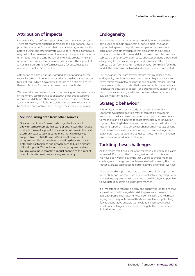## **Attribution of impacts**

Innovate UK is part of a complex science and innovation system. There are many organisations at national and sub-national levels providing a variety of support that companies may interact with before, during, and after Innovate UK support. Indeed, companies may be involved in many types of Innovate UK support at the same time. Identifying the contribution of any single programme with observed performance improvements is difficult. The support of any single programme is often necessary for outcomes to be realised, but not sufficient in itself.

Attribution can also be an issue around past or ongoing private sector investment in innovation or skills. If the data cannot account for all of this – which it typically cannot do to a sufficient degree – then attribution of impacts becomes more complicated.

We have taken some steps towards controlling for the wider policy environment, using surveys to ask about other public support received, and data on other programmes and past innovation activity. However, the full complexity of the environment cannot be captured and controlled for through these techniques alone.

#### **Solution: using data from other sources**

Greater use of data from outside organisations would allow for a more complete picture of businesses that receive multiple forms of support. For example, we have in the past used such data to look at companies that have received support from British Business Bank and Innovate UK programmes. Nesta have been compiling data from local enterprise partnerships and growth hubs to build a picture of local support. The inclusion of more programme data could allow a more complete, robust analysis of the impact of multiple interventions for a single company.

## **Endogeneity**

Endogeneity occurs in econometric models where a variable being used to explain an outcome – for example innovation support being used to explain business performance – has a correlation with other variables that also affect the outcome but are not captured in the model. In our example, this could be a company's ambition. Ambition could affect a company's likelihood of applying for innovation support, and could also affect that company's performance [\[6\]](#page-38-0). If ambition is not controlled for in the model, the results will be biased and either under or over-stated.

For innovation, there are several factors that could lead to an endogeneity problem, not least due to an ambiguous cause-andeffect relationship between innovation and performance. Indeed, some research demonstrates that the observable characteristics – such as the age, size, or sector – of a business only explain a small part of innovation and growth, and unobservable characteristics play an important role [\[7\].](#page-38-0)

## **Strategic behaviour**

Economics is, at its heart, a study of reaction to incentives. Economic evaluation must be wary of strategic behaviour in response to the incentives that government programmes create. Companies can be expected to react strategically to innovation support, changing behaviours in order to increase the likelihood of receiving support. These behaviour changes may not last beyond the timeframe necessary to receive support, and so longer-term behaviours – such as lasting changes to investment in innovation – must be accounted for in evaluation.

## **Tackling these challenges**

All this makes traditional evaluation methods less readily applicable. Innovate UK is committed to being an innovator in this area. We have been working over the last 2 years to overcome these challenges and design and implement evaluations using the most robust available techniques to better capture the impact we have.

Throughout this report, we have set out some of our approaches to the challenges we face, but these do not solve everything. Some innovation programmes will continue to be difficult, or impossible, to evaluate robustly in a quantitative manner.

It is important to recognise clearly and openly the limitations that any evaluation will have, whilst striving to ensure the most robust approach possible is implemented. In some cases, this will mean relying on more qualitative methods to complement potentially flawed quantitative analysis. Our evaluations will always seek to set out challenges, our actions to mitigate them, and where limitations remain.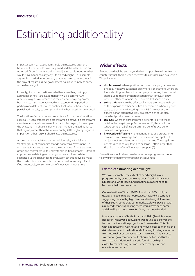# <span id="page-13-0"></span>Estimating additionality

Impacts seen in an evaluation should be measured against a baseline of what would have happened had the intervention not occurred. Gross impacts need to be adjusted to discount for what would have happened anyway – the 'deadweight'. For example, a grant is provided to a company that was going to invest fully in the project regardless. All government policies are likely to carry some deadweight.

In reality, it is not a question of whether something is simply additional or not. Partial additionality will be common. An outcome might have occurred in the absence of a programme, but it would have been achieved over a longer time period, or perhaps at a different level of quality. Evaluations should enable partial additionality to be captured and, where possible, quantified.

The location of outcomes and impacts is a further consideration, especially if local effects are a programme objective. If a programme aims to encourage investment in a particular region, for example, the evaluation might consider whether impacts are additional to that region, rather than the whole country (although any negative impacts on other regions should also be measured).

A common approach to assessing additionality is to define a 'control group' of companies that do not receive 'treatment' – a counterfactual – and to compare the outcomes of the treatment group and control group to understand additional impact. Different approaches to defining a control group are explored in later sections, but the challenges to evaluation set out above do make the construction of a credible counterfactual extremely difficult, if not impossible, for some types of innovation programme.

## **Wider effects**

Beyond deadweight, and beyond what it is possible to infer from a counterfactual, there are wider effects to consider in an evaluation. These include:

- **displacement:** where positive outcomes of a programme are offset by negative outcomes elsewhere. For example, where an Innovate UK grant leads to a company increasing their market share due to their commercialisation of an innovative new product, other companies see their market share reduced
- **substitution:** where the effects of a programme are realised at the expense of other activities. For example, where a grant leads to a company investing in one R&D project at the expense of an alternative R&D project, which could also have had productive outcomes
- leakage: where the programme's benefits 'leak' to those outside the target group. For Innovate UK, this would be where some or all of a programme's benefits accrue to overseas companies
- **knowledge diffusion:** where beneficiaries of a programme develop new knowledge and then move on and apply it to projects not associated with the programme. These spillover benefits are generally found to be large – often larger than the direct benefits of innovation support [\[6\]](#page-38-0)

Evaluations should also consider whether a programme has led to any unintended or unforeseen consequences.

#### **Example: estimating deadweight**

We have estimated the extent of deadweight in our programmes by using control groups. Deadweight is not a black-and-white issue, and headline numbers need to be treated with some caution.

Our evaluation of Smart (2015) found that 60% of highquality projects that did not receive an award did continue, suggesting reasonably high levels of deadweight. However, of those 60%, some 90% continued at a slower pace, or with a reduced scope, suggesting there would have been some additionality to those projects if they had been funded.

In our evaluations of both Smart and SBRI (Small Business Research Initiative), deadweight was found to be lower the further the innovation project was from market. This fits with expectations. As innovations move closer to market, the risks decrease and the likelihood of raising funding – whether from internal or external sources – increases. This is not to say that all government efforts should be focused further from market. Additionality is still found to be high in closer-to-market programmes, where many risks and uncertainties remain.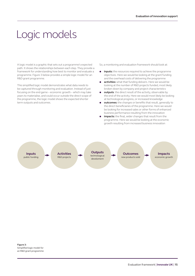# <span id="page-14-0"></span>Logic models

A logic model is a graphic that sets out a programme's expected path. It shows the relationships between each step. They provide a framework for understanding how best to monitor and evaluate a programme. Figure 3 below provides a simple logic model for an R&D grant programme.

This simplified logic model demonstrates what data needs to be captured through monitoring and evaluation. Instead of just focusing on the end game – economic growth – which may take years to materialise, and could occur outside the direct scope of the programme, the logic model shows the expected shorter term outputs and outcomes.

So, a monitoring and evaluation framework should look at:

- **• inputs:** the resources required to achieve the programme objectives. Here we would be looking at the grant funding and the overhead costs of delivering the programme
- **activities:** what that funding delivers. Here we would be looking at the number of R&D projects funded, most likely broken down by company and project characteristics
- **•** outputs: the direct result of the activity, observable by the end of the activity. Here we would most likely be looking at technological progress, or increased knowledge
- **•** outcomes: the changes or benefits that result, generally to the direct beneficiaries of the programme. Here we would be looking for increased sales or other forms of enhanced business performance resulting from the innovation
- impacts: the final, wider changes that result from the programme. Here we would be looking at the economic growth resulting from increased business innovation

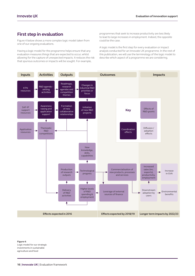## **First step in evaluation**

Figure 4 below shows a more complex logic model taken from one of our ongoing evaluations.

Having a logic model for the programme helps ensure that any evaluation measures things that are expected to occur, whilst allowing for the capture of unexpected impacts. It reduces the risk that spurious outcomes or impacts will be sought. For example,

programmes that seek to increase productivity are less likely to lead to large increases in employment. Indeed, the opposite could be the case.

A logic model is the first step for every evaluation or impact analysis conducted for an Innovate UK programme. In the rest of this publication, we will use the terminology of the logic model to describe which aspect of a programme we are considering.



**Figure 4:** Logic model for our strategic investments in sustainable agriculture and food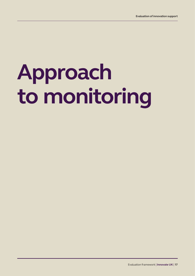# **Approach to monitoring**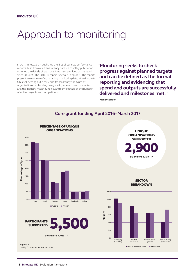# <span id="page-17-0"></span>Approach to monitoring

In 2017, Innovate UK published the first of our new performance reports, built from our transparency data – a monthly publication covering the details of each grant we have provided or managed since 2004 [\[9\]](#page-38-0). The 2016/17 report is set out in figure 5. The reports present an overview of our existing monitoring data, at an Innovate UK level, setting out clearly and transparently the types of organisations our funding has gone to, where those companies are, the industry match funding, and some details of the number of active projects and competitions.

**"Monitoring seeks to check progress against planned targets and can be defined as the formal reporting and evidencing that spend and outputs are successfully delivered and milestones met."**

**Magenta Book**

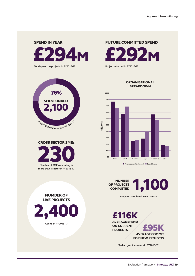# £294M SPEND IN YEAR

**Total spend on projects in FY2016-17**





2,400

**At end of FY2016-17**

NUMBER OF LIVE PROJECTS FUTURE COMMITTED SPEND

£292M **Projects started in FY2016-17**

#### **ORGANISATIONAL** BREAKDOWN



7 **Future committed spend** 7 **Spend in year**

OF PROJECTS **COMPLETED** 



**Projects completed in FY2016-17**

£116K AVERAGE SPEND ON CURRENT **E95K** AVERAGE COMMIT FOR NEW PROJECTS

**Median grant amounts in FY2016-17**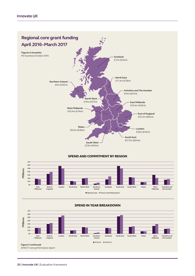

#### SPEND AND COMMITMENT BY REGION





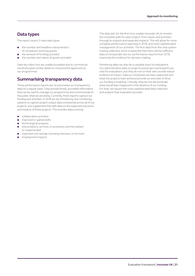## **Data types**

The report covers 3 main data types:

- the number and headline characteristics of companies receiving grants
- the amount of funding provided
- the number and nature of grants provided

Data we collect but are unable to publish due to commercial sensitivity gives similar detail on unsuccessful applicants to our programmes.

## **Summarising transparency data**

These performance reports aim to summarise our transparency data on a regular basis. They provide timely, accessible information that can be used to manage our programmes and communicate to the public what we are doing. Currently, these reports capture our funding and activities. In 2018 we are introducing new monitoring systems to capture project output data consistently across all of our projects, and supplement this with data on the expected outcomes and impacts of those projects. This includes data covering:

- collaboration activities
- improved or gained skills
- technological progress
- new products, services, or processes commercialised or implemented
- expected cost savings, licensing revenues, or turnover
- employment impacts

This data will, for the first time, enable Innovate UK to monitor the complete path for each project, from inputs and activities, through to outputs and expected impacts. This will allow for more complete performance reporting in 2018, and more sophisticated management of our activities. The first data from this new system is being collected, and it is expected that there will be sufficient data to incorporate into our performance reports from 2018, improving the evidence for decision-making.

Monitoring data can also be a valuable input to evaluations. Our administrative data on projects and project participants are vital for evaluations, but they do not on their own provide robust evidence of impact. Data on companies we have supported and what the projects have achieved provide an overview of what our funding is enabling. Critically, they do not demonstrate what would have happened in the absence of our funding. For that, we require the more sophisticated data collection and analysis that evaluation provides.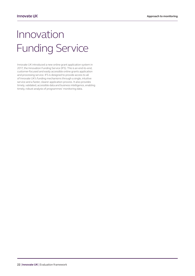# <span id="page-21-0"></span>Innovation Funding Service

Innovate UK introduced a new online grant application system in 2017, the Innovation Funding Service (IFS). This is an end-to-end, customer-focused and easily accessible online grants application and processing service. IFS is designed to provide access to all of Innovate UK's funding mechanisms through a single, intuitive service and a faster, clearer application process. It also provides timely, validated, accessible data and business intelligence, enabling timely, robust analysis of programmes' monitoring data.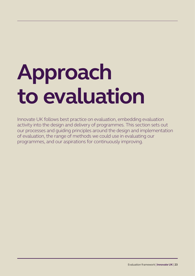# <span id="page-22-0"></span>**Approach to evaluation**

Innovate UK follows best practice on evaluation, embedding evaluation activity into the design and delivery of programmes. This section sets out our processes and guiding principles around the design and implementation of evaluation, the range of methods we could use in evaluating our programmes, and our aspirations for continuously improving.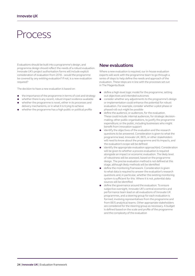## <span id="page-23-0"></span>Process

Evaluations should be built into a programme's design, and programme design should reflect the needs of a robust evaluation. Innovate UK's project authorisation forms will include explicit consideration of evaluation from 2018 – would the programme be covered by any existing evaluation? If not, is a new evaluation required?

The decision to have a new evaluation is based on:

- the importance of the programme in terms of cost and strategy
- whether there is any recent, robust impact evidence available
- whether the programme is novel, either in its processes and delivery mechanisms, or in what it is trying to achieve
- whether the programme has a high public or political profile

### **New evaluations**

Where a new evaluation is required, our in-house evaluation experts will work with the programme team to go through a series of steps to help define the needs and approach of the evaluation. These steps are in line with the processes set out in The Magenta Book:

- define a high-level logic model for the programme, setting out objectives and intended outcomes
- consider whether any adjustments to the programme's design or implementation could enhance the potential for robust evaluation. For example, consider whether a pilot phase or phased roll-out might be possible
- define the audience, or audiences, for the evaluation. These could include: internal audiences, for strategic decisionmaking; other public organisations, to justify the programme expenditure; or the public, including businesses who might benefit from innovation support
- identify the objectives of the evaluation and the research questions to be answered. Consideration is given to what the programme lead, Innovate UK, BEIS, or other stakeholders will need to know about the programme and its impacts, and the evaluation's scope will be defined
- identify the appropriate evaluation approach(es). Consideration will be given to whether a process evaluation is required alongside an impact or economic evaluation. The likely level of robustness will be assessed, based on the programme design. The precise evaluation method is not defined at this stage, although likely methods will be identified
- define the monitoring framework. Consideration is given to what data is required to answer the evaluation's research questions and, in particular, whether the existing monitoring system is sufficient for this. Where it is not, potential data sources will be identified
- define the governance around the evaluation. To ensure subjective oversight, Innovate UK's central economics and performance team lead on all evaluations of Innovate UK programmes, and a steering group for each evaluation is formed, involving representatives from the programme and from BEIS analytical teams. Other appropriate stakeholders are considered for the steering group as necessary. A budget is defined based on the scale and profile of the programme and the complexity of the evaluation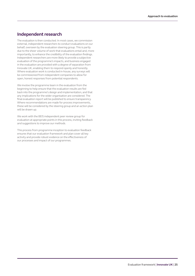## **Independent research**

The evaluation is then conducted. In most cases, we commission external, independent researchers to conduct evaluations on our behalf, overseen by the evaluation steering group. This is partly due to the sheer volume of work that evaluations entail and, more importantly, to enhance the credibility of the evaluation findings. Independent researchers are more likely to provide a subjective evaluation of the programme's impacts, and business engaged in the evaluation are provided with a degree of separation from Innovate UK, enabling them to respond openly and honestly. Where evaluation work is conducted in-house, any surveys will be commissioned from independent companies to allow for open, honest responses from potential respondents.

We involve the programme team in the evaluation from the beginning to help ensure that the evaluation results are fed back into the programme's design and implementation, and that any implications for the wider organisation are considered. The final evaluation report will be published to ensure transparency. Where recommendations are made for process improvements, these will be considered by the steering group and an action plan will be drawn up.

We work with the BEIS independent peer review group for evaluation at appropriate points in this process, inviting feedback and suggestions to improve our methods.

This process from programme inception to evaluation feedback ensures that our evaluation framework and plan cover all key activity and provide robust evidence on the effectiveness of our processes and impact of our programmes.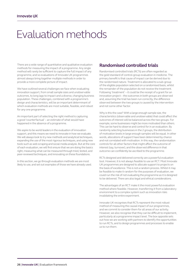# <span id="page-25-0"></span>Evaluation methods

There are a wide range of quantitative and qualitative evaluation methods for measuring the impact of a programme. Any single method will rarely be sufficient to capture the full impact of any programme, and so evaluations of Innovate UK programmes almost always bring together multiple methods in order to provide a more complete picture of impact.

We have outlined several challenges we face when evaluating innovation support, from small sample sizes and unobservable outcomes, to long lags to impact and a diverse, changing business population. These challenges, combined with a programme's design and characteristics, will be an important determinant of which evaluation methods are most suitable, feasible, and robust for any one programme.

An important part of selecting the right method is capturing a good 'counterfactual' – an estimate of what would have happened in the absence of a programme.

We aspire to be world leaders in the evaluation of innovation support, and this means we need to innovate in how we evaluate. We will always look to try new methods and analytical techniques, expanding the use of the most rigorous techniques, and using new tools such as web scraping and social media analysis. But at the core of each evaluation, we will first ensure that we are doing the basics right, measuring what can be measured through tried, tested, and peer-reviewed techniques, and innovating on these foundations.

In this section, we go through evaluation methods we are most likely to use, and set out examples of those we have already used.

## **Randomised controlled trials**

Randomised controlled trials (RCTs) are often regarded as the gold standard of control-group evaluation in medicine. The primary benefit is that cause of impact can be derived due to the randomised nature. Treatment is allocated to a sub-group of the eligible population selected on a randomised basis, whilst the remainder of the population do not receive the treatment. Following 'treatment' – it could be the receipt of a grant for an innovation project – the outcomes in both groups are observed and, assuming the trial has been run correctly, the difference observed between the two groups is caused by the intervention and not some other factor.

Why is this the case? With a large enough sample size, the characteristics (observable and unobservable) that could affect the outcomes of interest will be balanced across the two groups. For example, some businesses might be more motivated than others. This can be hard to observe and control for in an evaluation. By randomly selecting businesses in the 2 groups, the distribution of motivation levels in large enough samples will be equal. In other words, allocations of support have been determined by chance and not correlated with motivation. In this way, the randomisation controls for all other factors that might affect the outcome of interest (say, turnover), and the observed difference in that outcome can confidently be ascribed to the programme.

RCTs designed and delivered correctly are a powerful evaluation tool. However, it is not always feasible to use an RCT. Most Innovate UK programmes are designed to allocate support to projects on the basis of excellence. This is not a random process. Whilst it may be feasible to make it random for the purposes of evaluation, we could run the risk of not evaluating the programme as it is designed to be delivered. There are also legal and ethical considerations.

The advantages of an RCT make it the most powerful evaluation method where feasible. However, transferring it from a laboratory environment to a complex system such as innovation risks invalidating the entire experiment.

Innovate UK recognises that RCTs represent the most robust method of measuring the causal impact of our programmes, and we commit to consider them for all areas of our activity. However, we also recognise that they can be difficult to implement, particularly at a programme impact level. The box opposite sets out how we are working with partners to identify the opportunities to run RCTs, and to design programmes and processes to enable us to run them.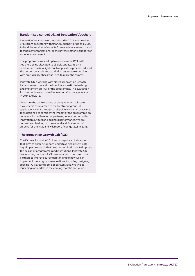#### **Randomised control trial of Innovation Vouchers**

Innovation Vouchers were introduced in 2012 and provided SMEs from all sectors with financial support of up to £5,000 to fund the services of experts from academia, research and technology organisations, or the private sector in support of an innovative project.

The programme was set up to operate as an RCT, with vouchers being allocated to eligible applicants on a randomised basis. A light-touch application process reduced the burden on applicants, and a lottery system combined with an eligibility check was used to make the awards.

Innovate UK is working with Nesta's Innovation Growth Lab and researchers at the Max Planck Institute to design and implement an RCT of the programme. The evaluation focuses on three rounds of Innovation Vouchers, allocated in 2014 and 2015.

To ensure the control group of companies not allocated a voucher is comparable to the treatment group, all applications went through an eligibility check. A survey was then designed to consider the impact of the programme on collaboration with external partners, innovation activities, innovation outputs and business performance. We are currently embarking on the second and final round of surveys for the RCT, and will report findings later in 2018.

#### **The Innovation Growth Lab (IGL)**

The IGL was formed in 2014 and is a global collaboration that aims to enable, support, undertake and disseminate high-impact research that uses randomised trials to improve the design of programmes and institutions. Innovate UK is a founding partner of IGL. We work with them and other partners to improve our understanding of how we can implement more rigorous evaluations, including designing specific RCTs around some of our activities. We will be launching more RCTs in the coming months and years.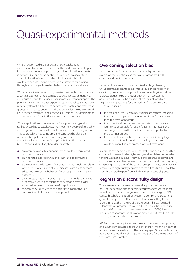# <span id="page-27-0"></span>Quasi-experimental methods

Where randomised evaluations are not feasible, quasiexperimental approaches tend to be the next most robust option. In quasi-experimental approaches, random allocation to treatment is not possible, and some control, or decision-making criteria, around allocation is instead taken. For Innovate UK, this control would be the assessment process of applications for funding, through which projects are funded on the basis of excellence.

Whilst allocation is not random, quasi-experimental methods use analytical approaches to estimate a counterfactual or identify a comparison group to provide a robust measurement of impact. The primary concern with quasi-experimental approaches is that there may be systematic differences between the control and treatment groups, which could undermine the ability to determine any causal link between treatment and observed outcomes. The design of the control group is critical to the success of such methods.

Where applications to Innovate UK for support are typically ranked according to excellence, the most likely source of a suitable control group is unsuccessful applicants to the same programme. This approach carries some pros and cons. On the plus side, unsuccessful applicants are more likely to share similar characteristics with successful applicants than the general business population. They have demonstrated:

- an awareness of public support, which could be correlated with performance
- an innovative approach, which is known to be correlated with performance
- a project at a similar level of innovation, which could correlate with performance (innovative businesses with a less or more advanced project might have different lags to performance outcomes)
- the company has an innovation project in a similar technical or sectoral area, which might be expected to have similar expected returns to the successful applicants
- the company is likely to have similar levels of motivation and ambition to the successful applicants

## **Overcoming selection bias**

Using unsuccessful applicants as a control group helps overcome the selection bias that can be associated with quasi-experimental methods.

However, there are also potential disadvantages to using unsuccessful applicants as a control group. Most notably, by definition, unsuccessful applicants are conducting innovation projects judged to be of a lower quality than successful applicants. This could be for several reasons, all of which might have implications for the validity of the control group. These could include:

- the project is less likely to have significant returns, meaning the control group would be expected to perform less well than the treatment group
- the project is either too early or too late in the innovation journey to be suitable for grant funding. This means the control group would have a different returns profile to the treatment group
- the application could be rejected because it is likely to go ahead without public funding, meaning the control group would be more likely to proceed without treatment

In order to overcome these issues, control group design should focus on projects deemed to be high-quality and fundable, but for which funding was not available. This would increase the observed and unobserved similarities between the treatment and control groups, enhancing the validity of the control group. Innovate UK tends to receive more high-quality applications than it has funding available, providing a suitable pool from which to draw a control group.

## **Regression discontinuity design**

There are several quasi-experimental approaches that can be used, depending on the specific circumstances. At the most robust end of the scale, regression discontinuity design (RDD) uses a threshold or cut-off between the control and treatment group to analyse the difference in outcomes resulting from the programme at the margins of the 2 groups. This can be used in Innovate UK programmes where there is a particular quality threshold (for example, an assessment score of 70%). It uses a presumed randomness in allocation either side of that threshold to proxy a random allocation process.

RDD approaches require a clear threshold between the 2 groups, and a sufficient sample size around the margin, meaning it cannot always be used in evaluation. The box on page 30 sets out how this approach was used in defining a control group for the evaluation of the Biomedical Catalyst.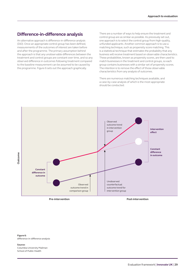### **Difference-in-difference analysis**

An alternative approach is difference-in-difference analysis (DiD). Once an appropriate control group has been defined, measurements of the outcomes of interest are taken before and after the programme. The primary assumption behind the approach is that any unobservable differences between the treatment and control groups are constant over time, and so any observed difference in outcomes following treatment compared to the baseline measurement can be assumed to be caused by the programme. Figure 6 sets out the approach graphically.

There are a number of ways to help ensure the treatment and control group are as similar as possible. As previously set out, one approach is to select the control group from high-quality, unfunded applicants. Another common approach is to use a matching technique, such as propensity score matching. This is a statistical technique that estimates the probability that any business will receive treatment based on observable characteristics. These probabilities, known as propensity scores, are then used to match businesses in the treatment and control groups, so each group contains businesses with a similar set of propensity scores. The intention is to remove the effect of those observable characteristics from any analysis of outcomes.

There are numerous matching techniques available, and a case-by-case analysis of which is the most appropriate should be conducted.



#### **Figure 6:** difference-in-difference analysis

**Source:**

Columbia University Mailman School of Public Health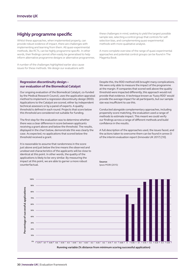## **Highly programme specific**

Whilst these approaches, when implemented properly, can provide robust evidence of impact, there are challenges with implementing and learning from them. All quasi-experimental methods, like RCTs, can be highly programme specific. In other words, their findings cannot often easily be generalised to help inform alternative programme designs or alternative programmes.

A number of the challenges highlighted earlier also cause issues for these methods. We design our evaluations with these challenges in mind, seeking to yield the largest possible sample size, selecting a control group that controls for selfselection bias, and complementing quasi-experimental methods with more qualitative analysis.

A more complete overview of the range of quasi-experimental approaches and potential control groups can be found in The Magenta Book.

#### **Regression discontinuity design – our evaluation of the Biomedical Catalyst**

Our ongoing evaluation of the Biomedical Catalyst, co-funded by the Medical Research Council, uses the application appraisal method to implement a regression discontinuity design (RDD). Applications to the Catalyst are scored, either by independent technical assessors or by a panel of experts. A quality threshold is defined in each round. Projects that score below this threshold are considered not suitable for funding.

The first step for the evaluation was to determine whether there was a clear difference in score between applicants receiving a grant above and below the threshold. The results, displayed in the chart below, demonstrate this was clearly the case. As expected, no applications that scored below the threshold received a grant.

It is reasonable to assume that randomness in the score just above and just below the line means the observed and unobserved characteristics of the applicants will be close to identical at this point. In other words, the quality of the applications is likely to be very similar. By measuring the impact at this point, we are able to garner a more robust counterfactual.

Despite this, the RDD method still brought many complications. We were only able to measure the impact of the programme at the margin. If companies that scored well above the quality threshold were impacted differently, this approach would not provide that evidence. A technique known as 'fuzzy RDD' would provide the average impact for all participants, but our sample size was insufficient to use this.

Conducted alongside complementary approaches, including propensity score matching, the evaluation used a range of methods to estimate impact. This meant we could verify our findings across a range of different methods and build confidence in the results.

A full description of the approaches used, the issues faced, and the actions taken to overcome them can be found in annex D of the interim evaluation report (Innovate UK 2017) [10].

**Source:** Ipsos MORI (2015)

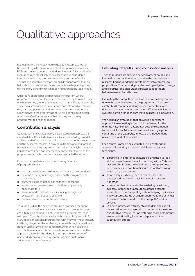# <span id="page-30-0"></span>Qualitative approaches

Evaluations will generally require qualitative approaches to be used alongside the more quantitative approaches such as RCTs and quasi-experimental designs. Innovate UK's qualitative evaluations are most likely to be case studies and in-depth interviews with programme stakeholders and beneficiaries. The use of qualitative methods alongside quantitative analysis helps demonstrate why observed impacts are happening; they tell the story behind what is happening through the logic model.

Qualitative approaches are particularly important where programmes are complex, where there are many forms of impact, or where some aspects of the logic model are difficult to quantify. They can also be used to understand more about which factors may have supported or hindered innovation and whether any adjustments to the programme could help bring about better outcomes. Qualitative approaches can help us to design programmes to enhance impact.

## **Contribution analysis**

Contribution analysis is a theory-based evaluation approach. It aims to define the links between each element of a logic model, and test and refine these theoretical links between the programme and the expected impacts. It provides a framework for analysing not just whether the programme has had an impact, but how that impact materialised and whether any particular element of the programme or contextual factors were crucial to the impact.

Contribution analysis is conducted through a series of progressive steps:

- set out the expected attribution of impact to be considered
- develop a theory of change, based on the programme's logic model
- gather existing evidence on the theory of change
- assemble and assess the contribution story and any challenges to it
- seek out additional evidence, including through the evaluation methods set out above
- revise and refine the contribution story

Through building the evidence around a proposed theory of change, contribution analysis can look at each link in the logic chain to build a complete picture of how a programme leads to impact. Contribution analysis can be particularly suitable for evaluations of complex programmes with many forms of impact, and brings together the evidence gathered through an evaluation using multiple forms of evidence gathering. When designing contribution analysis, it is particularly important to ensure the approach allows for the identification and measurement of unintended consequences, given the way it is built up from a designed theory of change.

#### **Evaluating Catapults using contribution analysis**

The Catapult programme is a network of technology and innovation centres that aims to bridge the gap between research findings and their development into commercial propositions. The network provides leading-edge technology and expertise, and encourages greater collaboration between research and business.

Evaluating the Catapult network was a new challenge for us, due to the complex nature of the programme. There are 7 established Catapults, working in different sectors, with different operating models, and using different activities to overcome a wide range of barriers to business-led innovation.

We needed an evaluation that provided a consistent approach to evaluating impact whilst allowing for the differing nature of each Catapult. A bespoke evaluation framework for each Catapult was developed by a group consisting of the Catapults, Innovate UK, independent researchers, and BEIS analysts.

Each centre is now being evaluated using contribution analysis, informed by a number of different analytical techniques:

- $\bullet$  difference-in-difference analysis is being used to look at the business-level impact of working with a Catapult. Data for this is being collected both through surveys of beneficiaries and non-beneficiaries, as well as through third-party data sources
- trend analysis is being used at a sector level, to understand the impact each Catapult is having on its sector
- A a large number of case studies are being developed, typically 30 for each Catapult, to gather detailed examples of how Catapults go about helping businesses. They capture a range of organisation types and activities to ensure the full breadth of the Catapults' work is covered
- in-depth interviews with key stakeholders and expert consultations are being used to complement the more quantitative analysis, to understand in more detail issues around additionality, including displacement and substitution effects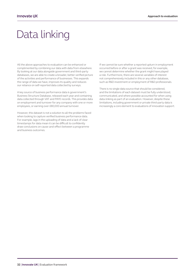# <span id="page-31-0"></span>Data linking

All the above approaches to evaluation can be enhanced or complimented by combining our data with data from elsewhere. By looking at our data alongside government and third-party databases, we are able to create a broader, better verified picture of the activities and performance of businesses. This expands the range of data we have, improves its quality and reduces our reliance on self-reported data collected by surveys.

A key source of business performance data is government's Business Structure Database, released each year and containing data collected through VAT and PAYE records. This provides data on employment and turnover for any company with one or more employees, or earning over £80,000 annual turnover.

However, this dataset is not a solution to all the problems faced when looking to capture verified business performance data. For example, lags in the uploading of data and a lack of clear timestamps for data mean it can be difficult to confidently draw conclusions on cause-and-effect between a programme and business outcomes.

If we cannot be sure whether a reported upturn in employment occurred before or after a grant was received, for example, we cannot determine whether the grant might have played a role. Furthermore, there are several variables of interest not comprehensively included in this or any other database, such as R&D investment or employment of R&D professionals.

There is no single data source that should be considered, and the limitations of each dataset must be fully understood, communicated, and where possible accounted for when using data-linking as part of an evaluation. However, despite these limitations, including government or private third-party data is increasingly a core element to evaluations of innovation support.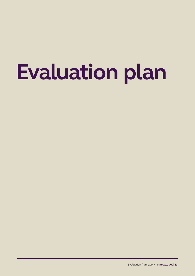# <span id="page-32-0"></span>**Evaluation plan**

Evaluation framework | **Innovate UK** | **33**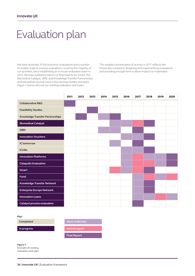# Evaluation plan

We have launched 10 full economic evaluations and a number of smaller scale or process evaluations, covering the majority of our activities, since establishing an in-house evaluation team in 2013. We have published interim or final reports for Smart, the Biomedical Catalyst, SBRI, and Knowledge Transfer Partnerships, and will publish several more in the coming months and years. Figure 7 below sets out our existing evaluation work plan.

The notable concentration of activity in 2017 reflects the timescales involved in designing and implementing evaluations and providing enough time to allow impacts to materialise.

|                                    | 2011 | 2012 | 2013 | 2014 | 2015 | 2016 | 2017 | 2018 | 2019 | 2020 |
|------------------------------------|------|------|------|------|------|------|------|------|------|------|
| <b>Collaborative R&amp;D</b>       |      |      |      |      |      |      |      |      |      |      |
| <b>Feasibility Studies</b>         |      |      |      |      |      |      |      |      |      |      |
| Knowledge Transfer Partnerships    |      |      |      |      |      |      |      |      |      |      |
| <b>Biomedical Catalyst</b>         |      |      |      |      |      |      |      |      |      |      |
| <b>SBRI</b>                        |      |      |      |      |      |      |      |      |      |      |
| <b>Innovation Vouchers</b>         |      |      |      |      |      |      |      |      |      |      |
| <b>IC tomorrow</b>                 |      |      |      |      |      |      |      |      |      |      |
| <b>ICURe</b>                       |      |      |      |      |      |      |      |      |      |      |
| <b>Innovation Platforms</b>        |      |      |      |      |      |      |      |      |      |      |
| <b>Catapults Evaluation</b>        |      |      |      |      |      |      |      |      |      |      |
| <b>Smart</b>                       |      |      |      |      |      |      |      |      |      |      |
| <b>Fund</b>                        |      |      |      |      |      |      |      |      |      |      |
| Knowledge Transfer Network         |      |      |      |      |      |      |      |      |      |      |
| <b>Enterprise Europe Network</b>   |      |      |      |      |      |      |      |      |      |      |
| <b>Innovation Loans</b>            |      |      |      |      |      |      |      |      |      |      |
| <b>Catalyst process evaluation</b> |      |      |      |      |      |      |      |      |      |      |

**Key:**

| <b>Completed</b> | <b>Work underway</b> |
|------------------|----------------------|
| In progress      | Interim report       |
|                  | <b>Final Report</b>  |
|                  |                      |

**Figure 7:** Innovate UK existing evaluation work plan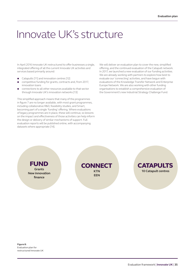## <span id="page-34-0"></span>Innovate UK's structure

In April 2016 Innovate UK restructured to offer businesses a single, integrated offering of all the current Innovate UK activities and services based primarily around:

- Catapults [\[11\]](#page-38-0) and innovation centres [\[12\]](#page-38-0)
- competitive funding for grants, contracts and, from 2017, innovation loans
- connections to all other resources available to that sector through Innovate UK's innovation networks [\[13\]](#page-38-0)

This simplified approach means that many of the programmes in figure 7 are no longer available, with most grant programmes, including collaborative R&D, feasibility studies, and Smart, becoming part of a single 'funding' offering. Where evaluations of legacy programmes are in place, these will continue, so lessons on the impact and effectiveness of those activities can help inform the design or delivery of similar mechanisms of support. Full evaluation reports will be published online, with accompanying datasets where appropriate [\[14\]](#page-38-0).

We will deliver an evaluation plan to cover the new, simplified offering, and the continued evaluation of the Catapult network. In 2017, we launched a new evaluation of our funding activities. We are already working with partners to explore how best to evaluate our 'connecting' activities, and have begun with evaluations of the Knowledge Transfer Network and Enterprise Europe Network. We are also working with other funding organisations to establish a comprehensive evaluation of the Government's new Industrial Strategy Challenge Fund.

FUND **Grants**

**New innovation finance**

**CONNECT KTN EEN**



**Figure 8:** Evaluation plan for restructured Innovate UK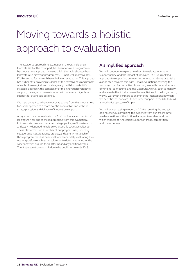# <span id="page-35-0"></span>Moving towards a holistic approach to evaluation

The traditional approach to evaluation in the UK, including in Innovate UK for the most part, has been to take a programmeby-programme approach. We see this in the table above, where Innovate UK's different programmes – Smart, collaborative R&D, ICURe, and so forth – each have their own evaluation. This approach has its benefits, providing evidence of the effectiveness and impact of each. However, it does not always align with Innovate UK's strategic approach, the complexity of the innovation system we support, the way companies interact with Innovate UK, or how support for business is designed.

We have sought to advance our evaluations from this programmefocused approach to a more holistic approach in line with the strategic design and delivery of innovation support.

A key example is our evaluation of 2 of our 'innovation platforms' (see figure 4 for one of the logic models from this evaluation). In these instances, we look at a strategic package of investments and activity designed to help solve a specific societal challenge. These platforms used a number of our programmes, including collaborative R&D, feasibility studies, and SBRI. Whilst each of those programmes has been evaluated separately, evaluating their use in a platform such as this allows us to determine whether the wider activities around the platforms add any additional value. The first evaluation report is due to be published in early 2018.

## **A simplified approach**

We will continue to explore how best to evaluate innovation support policy, and the impact of Innovate UK. Our simplified approach to supporting business-led innovation allows us to take a good step towards this, with 3 main evaluations covering the vast majority of all activities. As we progress with the evaluations of funding, connecting, and the Catapults, we will seek to identify and evaluate the links between these activities. In the longer term, we will work with partners to examine the interactions between the activities of Innovate UK and other support in the UK, to build a truly holistic picture of impact.

We will present a single report in 2019 evaluating the impact of Innovate UK, combining the evidence from our programmelevel evaluations with additional analysis to understand the wider impacts of innovation support on trade, competition and the economy.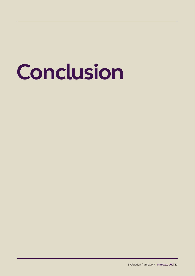# **Conclusion**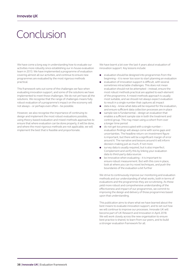# <span id="page-37-0"></span>Conclusion

We have come a long way in understanding how to evaluate our activities more robustly since establishing our in-house evaluation team in 2013. We have implemented a programme of evaluation covering almost all our activities, and continue to ensure new programmes are evaluated by the most rigorous methods practical.

This framework sets out some of the challenges we face when evaluating innovation support, and some of the solutions we have implemented to meet those challenges. We do not yet have all the solutions. We recognise that the range of challenges means fully robust evaluation of a programme's impact on the economy will not always – or perhaps even often – be possible.

However, we also recognise the importance of continuing to design and implement the most robust evaluations possible, using theory-based evaluation and mixed-methods approaches to ensure that where evaluation can be done properly, it will be done, and where the most rigorous methods are not applicable, we will implement the best that is feasible and proportionate.

We have learnt a lot over the last 4 years about evaluation of innovation support. Key lessons include:

- evaluation should be designed into programmes from the beginning – it is never too soon to start planning an evaluation
- evaluation of innovation support is difficult, with several sometimes intractable challenges. This does not mean evaluation should not be attempted – instead, ensure the most robust methods practical are applied to each element of the programme. A mixed-methods approach is usually most suitable, and we should not always expect evaluation to result in a single number that captures all impact
- data is key know what data will be required for the evaluation, and ensure sufficient data collection processes are in place
- sample size is fundamental design an evaluation that enables a sufficient sample size in both the treatment and control group. This may mean using a cohort from over a longer time period
- do not get too preoccupied with a single number evaluation findings will always come with some gaps and uncertainties. The headline return-on-investment figure is important, but there will be a significant margin of error around it. The narrative and lessons around it will inform decision-making just as much, if not more
- A survey data is usually required, but is also imperfect. Complement and verify this by linking your evaluation data to third-party data sources
- $\bullet$  be innovative when evaluating it is important to ensure robust measurement. But with this core in place, look at where you can try novel techniques, and push the boundaries of the evaluation a bit further

We strive to continuously improve our monitoring and evaluation methods and our understanding of what works, both in terms of evaluations and the programmes they are scrutinising. As these yield more robust and comprehensive understanding of the effectiveness and impact of our programmes, we commit to improving the design and delivery of those programmes based upon that understanding.

This publication aims to share what we have learned about the best means to evaluate innovation support, and to set out how we will continue to improve our processes. Innovate UK will become part of UK Research and Innovation in April 2018. We will work closely across the new organisation to ensure best practice is shared, to learn from our peers, and to build a stronger evaluation framework for all.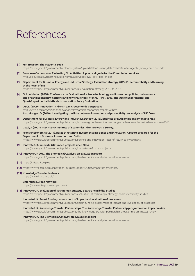# <span id="page-38-0"></span>References

- **[1] HM Treasury. The Magenta Book** [https://www.gov.uk/government/uploads/system/uploads/attachment\\_data/file/220542/magenta\\_book\\_combined.pdf](https://www.gov.uk/government/uploads/system/uploads/attachment_data/file/220542/magenta_book_combined.pdf)
- **[2] European Commission. Evaluating EU Activities: A practical guide for the Commission services** [http://ec.europa.eu/smart-regulation/evaluation/docs/eval\\_activities\\_en.pdf](http://ec.europa.eu/smart-regulation/evaluation/docs/eval_activities_en.pdf)
- **[3] Department for Business, Energy and Industrial Strategy. Evaluation strategy 2015-16: accountability and learning at the heart of BIS** <https://www.gov.uk/government/publications/bis-evaluation-strategy-2015-to-2016>
- **[4] Gok, Abdullah (2016). Conference on Evaluation of science technology and innovation policies, instruments and organisations: new horizons and new challenges, Vienna, 14/11/2013. The Use of Experimental and Quasi-Experimental Methods in Innovation Policy Evaluation**
- **[5] OECD (2009). Innovation in Firms a microeconomic perspective** <http://www.oecd.org/sti/inno/innovationinfirmsamicroeconomicperspective.htm> **Also Hodges, D. (2010). Investigating the links between innovation and productivity: an analysis of UK firms**
- **[6] Department for Business, Energy and Industrial Strategy (2015). Business growth ambitions amongst SMEs** <https://www.gov.uk/government/publications/business-growth-ambitions-among-small-and-medium-sized-enterprises-2016>
- **[7] Coad, A (2007). Max Planck Institute of Economics. Firm Growth: a Survey.**
- **[8] Frontier Economics (2014). Rates of return to investments in science and innovation: A report prepared for the Department of Business, Innovation, and Skills** <https://www.gov.uk/government/publications/science-and-innovation-rates-of-return-to-investment>
- **[9] Innovate UK. Innovate UK funded projects since 2004** <https://www.gov.uk/government/publications/innovate-uk-funded-projects>
- **[10] Innovate UK 2017. The Biomedical Catalyst: an evaluation report** <https://www.gov.uk/government/publications/the-biomedical-catalyst-an-evaluation-report>
- **[11]** <https://catapult.org.uk/>
- **[12]** <https://www.epsrc.ac.uk/innovation/business/opportunities/impactschemes/ikcs/>
- **[13] Knowledge Transfer Network**

<https://www.ktn-uk.co.uk/>

#### **Enterprise Europe Network**

<https://www.enterprise-europe.co.uk/>

**[14] Innovate UK. Evaluation of Technology Strategy Board's Feasibility Studies**

<https://www.gov.uk/government/publications/evaluation-of-technology-strategy-boards-feasibility-studies>

**Innovate UK. Smart funding: assessment of impact and evaluation of processes** <https://www.gov.uk/government/publications/smart-funding-assessment-of-impact-and-evaluation-of-processes>

**Innovate UK. Knowledge Transfer Partnerships. The Knowledge Transfer Partnership programme: an impact review** <https://www.gov.uk/government/publications/the-knowledge-transfer-partnership-programme-an-impact-review>

#### **Innovate UK. The Biomedical Catalyst: an evaluation report**

<https://www.gov.uk/government/publications/the-biomedical-catalyst-an-evaluation-report>